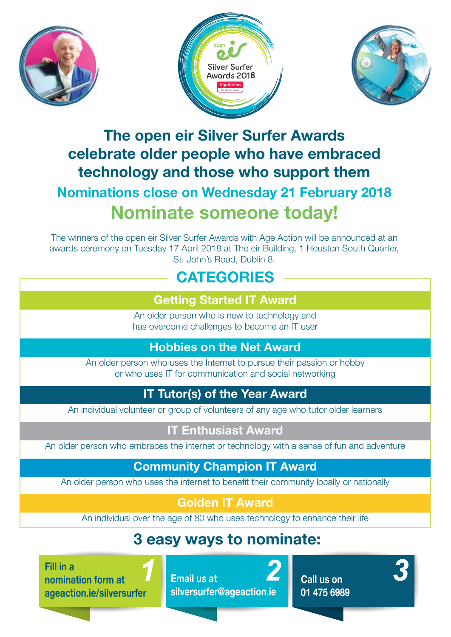





## The open eir Silver Surfer Awards celebrate older people who have embraced technology and those who support them Nominations close on Wednesday 21 February 2018 Nominate someone today!

The winners of the open eir Silver Surfer Awards with Age Action will be announced at an awards ceremony on Tuesday 17 April 2018 at The eir Building, 1 Heuston South Quarter, St. John's Road, Dublin 8.

## **CATEGORIES**

#### Getting Started IT Award

An older person who is new to technology and has overcome challenges to become an IT user

#### Hobbies on the Net Award

An older person who uses the Internet to pursue their passion or hobby or who uses IT for communication and social networking

### IT Tutor(s) of the Year Award

An individual volunteer or group of volunteers of any age who tutor older learners

#### IT Enthusiast Award

An older person who embraces the internet or technology with a sense of fun and adventure

#### Community Champion IT Award

An older person who uses the internet to benefit their community locally or nationally

#### Golden IT Award

An individual over the age of 80 who uses technology to enhance their life

## 3 easy ways to nominate:

Fill in a nomination form at ageaction.ie/silversurfer

Email us at silversurfer@ageaction.ie

Call us on 01 475 6989